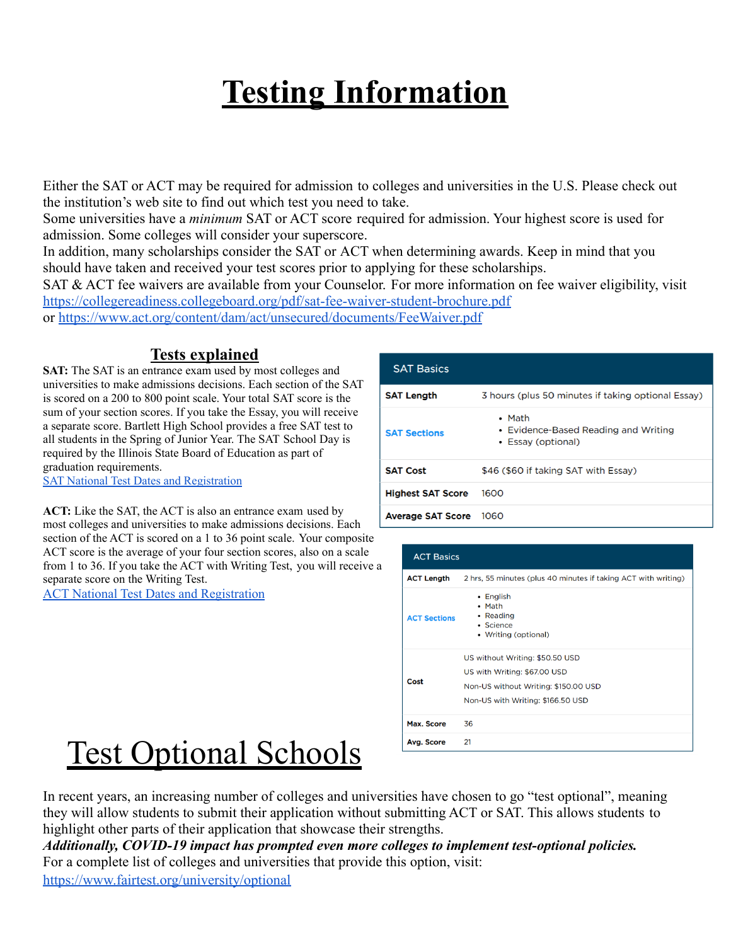## **Testing Information**

Either the SAT or ACT may be required for admission to colleges and universities in the U.S. Please check out the institution's web site to find out which test you need to take.

Some universities have a *minimum* SAT or ACT score required for admission. Your highest score is used for admission. Some colleges will consider your superscore.

In addition, many scholarships consider the SAT or ACT when determining awards. Keep in mind that you should have taken and received your test scores prior to applying for these scholarships.

SAT & ACT fee waivers are available from your Counselor. For more information on fee waiver eligibility, visit <https://collegereadiness.collegeboard.org/pdf/sat-fee-waiver-student-brochure.pdf>

or <https://www.act.org/content/dam/act/unsecured/documents/FeeWaiver.pdf>

## **Tests explained**

**SAT:** The SAT is an entrance exam used by most colleges and universities to make admissions decisions. Each section of the SAT is scored on a 200 to 800 point scale. Your total SAT score is the sum of your section scores. If you take the Essay, you will receive a separate score. Bartlett High School provides a free SAT test to all students in the Spring of Junior Year. The SAT School Day is required by the Illinois State Board of Education as part of graduation requirements.

SAT National Test Dates and [Registration](https://collegereadiness.collegeboard.org/sat/register/dates-deadlines)

| <b>SAT Basics</b>        |                                                                              |
|--------------------------|------------------------------------------------------------------------------|
| <b>SAT Length</b>        | 3 hours (plus 50 minutes if taking optional Essay)                           |
| <b>SAT Sections</b>      | $\bullet$ Math<br>• Evidence-Based Reading and Writing<br>• Essay (optional) |
| <b>SAT Cost</b>          | \$46 (\$60 if taking SAT with Essay)                                         |
| <b>Highest SAT Score</b> | 1600                                                                         |
| <b>Average SAT Score</b> | 1060                                                                         |

**ACT:** Like the SAT, the ACT is also an entrance exam used by most colleges and universities to make admissions decisions. Each section of the ACT is scored on a 1 to 36 point scale. Your composite ACT score is the average of your four section scores, also on a scale from 1 to 36. If you take the ACT with Writing Test, you will receive a separate score on the Writing Test.

ACT National Test Dates and [Registration](http://www.act.org/content/act/en/products-and-services/the-act/registration.html)

| <b>ACT Basics</b>   |                                                                                                                                              |
|---------------------|----------------------------------------------------------------------------------------------------------------------------------------------|
| <b>ACT Length</b>   | 2 hrs, 55 minutes (plus 40 minutes if taking ACT with writing)                                                                               |
| <b>ACT Sections</b> | • English<br>• Math<br>• Reading<br>• Science<br>• Writing (optional)                                                                        |
| Cost                | US without Writing: \$50.50 USD<br>US with Writing: \$67.00 USD<br>Non-US without Writing: \$150.00 USD<br>Non-US with Writing: \$166.50 USD |
| Max. Score          | 36                                                                                                                                           |
| Avg. Score          | 21                                                                                                                                           |

## Test Optional Schools

In recent years, an increasing number of colleges and universities have chosen to go "test optional", meaning they will allow students to submit their application without submitting ACT or SAT. This allows students to highlight other parts of their application that showcase their strengths.

*Additionally, COVID-19 impact has prompted even more colleges to implement test-optional policies.* For a complete list of colleges and universities that provide this option, visit: <https://www.fairtest.org/university/optional>